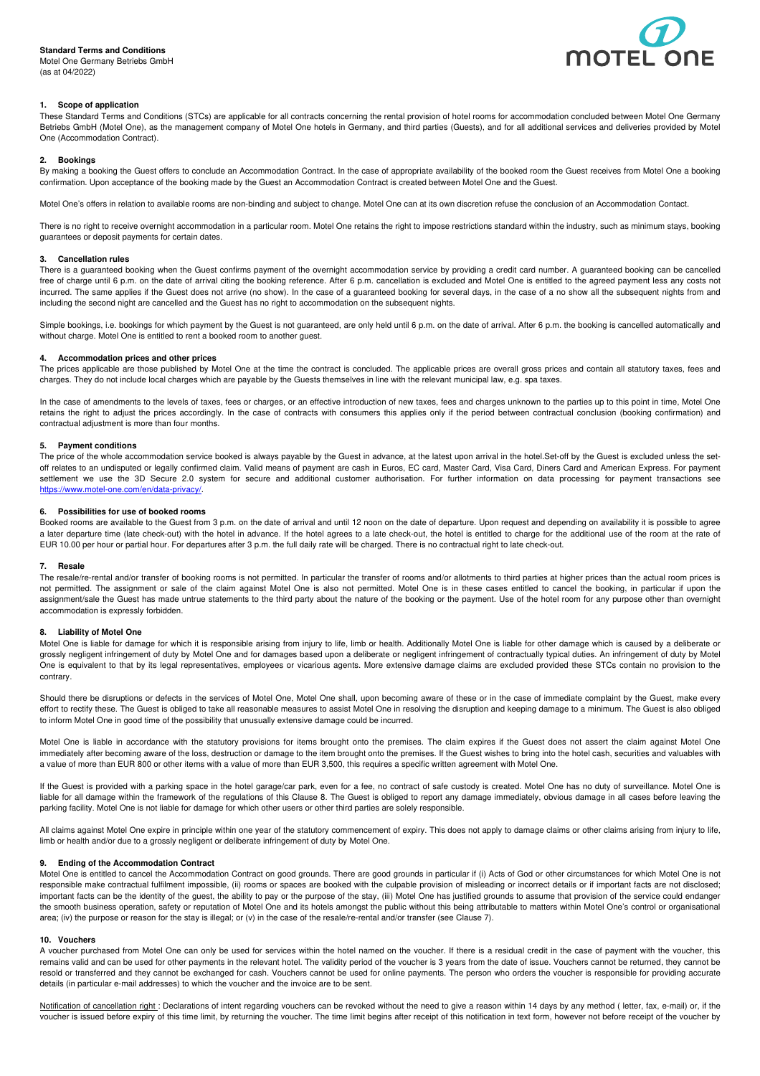# **Standard Terms and Conditions**

Motel One Germany Betriebs GmbH (as at 04/2022)



# **1. Scope of application**

These Standard Terms and Conditions (STCs) are applicable for all contracts concerning the rental provision of hotel rooms for accommodation concluded between Motel One Germany Betriebs GmbH (Motel One), as the management company of Motel One hotels in Germany, and third parties (Guests), and for all additional services and deliveries provided by Motel One (Accommodation Contract).

### **2. Bookings**

By making a booking the Guest offers to conclude an Accommodation Contract. In the case of appropriate availability of the booked room the Guest receives from Motel One a booking confirmation. Upon acceptance of the booking made by the Guest an Accommodation Contract is created between Motel One and the Guest.

Motel One's offers in relation to available rooms are non-binding and subject to change. Motel One can at its own discretion refuse the conclusion of an Accommodation Contact.

There is no right to receive overnight accommodation in a particular room. Motel One retains the right to impose restrictions standard within the industry, such as minimum stays, booking guarantees or deposit payments for certain dates.

# **3. Cancellation rules**

There is a guaranteed booking when the Guest confirms payment of the overnight accommodation service by providing a credit card number. A guaranteed booking can be cancelled free of charge until 6 p.m. on the date of arrival citing the booking reference. After 6 p.m. cancellation is excluded and Motel One is entitled to the agreed payment less any costs not incurred. The same applies if the Guest does not arrive (no show). In the case of a guaranteed booking for several days, in the case of a no show all the subsequent nights from and including the second night are cancelled and the Guest has no right to accommodation on the subsequent nights.

Simple bookings, i.e. bookings for which payment by the Guest is not guaranteed, are only held until 6 p.m. on the date of arrival. After 6 p.m. the booking is cancelled automatically and without charge. Motel One is entitled to rent a booked room to another guest.

#### **4. Accommodation prices and other prices**

The prices applicable are those published by Motel One at the time the contract is concluded. The applicable prices are overall gross prices and contain all statutory taxes, fees and charges. They do not include local charges which are payable by the Guests themselves in line with the relevant municipal law, e.g. spa taxes.

In the case of amendments to the levels of taxes, fees or charges, or an effective introduction of new taxes, fees and charges unknown to the parties up to this point in time, Motel One retains the right to adjust the prices accordingly. In the case of contracts with consumers this applies only if the period between contractual conclusion (booking confirmation) and contractual adjustment is more than four months.

# **5. Payment conditions**

The price of the whole accommodation service booked is always payable by the Guest in advance, at the latest upon arrival in the hotel.Set-off by the Guest is excluded unless the setoff relates to an undisputed or legally confirmed claim. Valid means of payment are cash in Euros, EC card, Master Card, Visa Card, Diners Card and American Express. For payment settlement we use the 3D Secure 2.0 system for secure and additional customer authorisation. For further information on data processing for payment transactions see https://www.motel-one.com/en/data-privacy/.

#### **6. Possibilities for use of booked rooms**

Booked rooms are available to the Guest from 3 p.m. on the date of arrival and until 12 noon on the date of departure. Upon request and depending on availability it is possible to agree a later departure time (late check-out) with the hotel in advance. If the hotel agrees to a late check-out, the hotel is entitled to charge for the additional use of the room at the rate of EUR 10.00 per hour or partial hour. For departures after 3 p.m. the full daily rate will be charged. There is no contractual right to late check-out.

#### **7. Resale**

The resale/re-rental and/or transfer of booking rooms is not permitted. In particular the transfer of rooms and/or allotments to third parties at higher prices than the actual room prices is not permitted. The assignment or sale of the claim against Motel One is also not permitted. Motel One is in these cases entitled to cancel the booking, in particular if upon the assignment/sale the Guest has made untrue statements to the third party about the nature of the booking or the payment. Use of the hotel room for any purpose other than overnight accommodation is expressly forbidden.

# **8. Liability of Motel One**

Motel One is liable for damage for which it is responsible arising from injury to life, limb or health. Additionally Motel One is liable for other damage which is caused by a deliberate or grossly negligent infringement of duty by Motel One and for damages based upon a deliberate or negligent infringement of contractually typical duties. An infringement of duty by Motel One is equivalent to that by its legal representatives, employees or vicarious agents. More extensive damage claims are excluded provided these STCs contain no provision to the contrary.

Should there be disruptions or defects in the services of Motel One, Motel One shall, upon becoming aware of these or in the case of immediate complaint by the Guest, make every effort to rectify these. The Guest is obliged to take all reasonable measures to assist Motel One in resolving the disruption and keeping damage to a minimum. The Guest is also obliged to inform Motel One in good time of the possibility that unusually extensive damage could be incurred.

Motel One is liable in accordance with the statutory provisions for items brought onto the premises. The claim expires if the Guest does not assert the claim against Motel One immediately after becoming aware of the loss, destruction or damage to the item brought onto the premises. If the Guest wishes to bring into the hotel cash, securities and valuables with a value of more than EUR 800 or other items with a value of more than EUR 3,500, this requires a specific written agreement with Motel One.

If the Guest is provided with a parking space in the hotel garage/car park, even for a fee, no contract of safe custody is created. Motel One has no duty of surveillance. Motel One is liable for all damage within the framework of the regulations of this Clause 8. The Guest is obliged to report any damage immediately, obvious damage in all cases before leaving the parking facility. Motel One is not liable for damage for which other users or other third parties are solely responsible.

All claims against Motel One expire in principle within one year of the statutory commencement of expiry. This does not apply to damage claims or other claims arising from injury to life, limb or health and/or due to a grossly negligent or deliberate infringement of duty by Motel One.

## **9. Ending of the Accommodation Contract**

Motel One is entitled to cancel the Accommodation Contract on good grounds. There are good grounds in particular if (i) Acts of God or other circumstances for which Motel One is not responsible make contractual fulfilment impossible, (ii) rooms or spaces are booked with the culpable provision of misleading or incorrect details or if important facts are not disclosed; important facts can be the identity of the guest, the ability to pay or the purpose of the stay, (iii) Motel One has justified grounds to assume that provision of the service could endanger the smooth business operation, safety or reputation of Motel One and its hotels amongst the public without this being attributable to matters within Motel One's control or organisational area; (iv) the purpose or reason for the stay is illegal; or (v) in the case of the resale/re-rental and/or transfer (see Clause 7).

#### **10. Vouchers**

A voucher purchased from Motel One can only be used for services within the hotel named on the voucher. If there is a residual credit in the case of payment with the voucher, this remains valid and can be used for other payments in the relevant hotel. The validity period of the voucher is 3 years from the date of issue. Vouchers cannot be returned, they cannot be resold or transferred and they cannot be exchanged for cash. Vouchers cannot be used for online payments. The person who orders the voucher is responsible for providing accurate details (in particular e-mail addresses) to which the voucher and the invoice are to be sent.

Notification of cancellation right : Declarations of intent regarding vouchers can be revoked without the need to give a reason within 14 days by any method (letter, fax, e-mail) or, if the voucher is issued before expiry of this time limit, by returning the voucher. The time limit begins after receipt of this notification in text form, however not before receipt of the voucher by